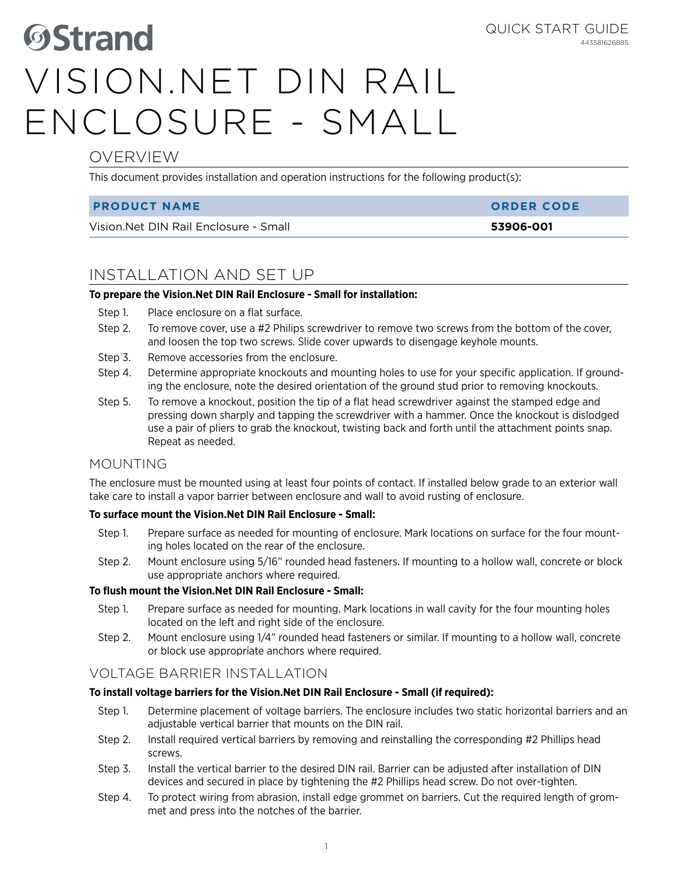# **OVERVIEW**

This document provides installation and operation instructions for the following product(s):

#### **PRODUCT NAME ORDER CODE**

Vision.Net DIN Rail Enclosure - Small **53906-001**

443581626885

Quick Start Guide

# INSTALLATION AND SET UP

### **To prepare the Vision.Net DIN Rail Enclosure - Small for installation:**

- Step 1. Place enclosure on a flat surface.
- Step 2. To remove cover, use a #2 Philips screwdriver to remove two screws from the bottom of the cover, and loosen the top two screws. Slide cover upwards to disengage keyhole mounts.
- Step 3. Remove accessories from the enclosure.
- Step 4. Determine appropriate knockouts and mounting holes to use for your specific application. If grounding the enclosure, note the desired orientation of the ground stud prior to removing knockouts.
- Step 5. To remove a knockout, position the tip of a flat head screwdriver against the stamped edge and pressing down sharply and tapping the screwdriver with a hammer. Once the knockout is dislodged use a pair of pliers to grab the knockout, twisting back and forth until the attachment points snap. Repeat as needed.

## MOUNTING

The enclosure must be mounted using at least four points of contact. If installed below grade to an exterior wall take care to install a vapor barrier between enclosure and wall to avoid rusting of enclosure.

### **To surface mount the Vision.Net DIN Rail Enclosure - Small:**

- Step 1. Prepare surface as needed for mounting of enclosure. Mark locations on surface for the four mounting holes located on the rear of the enclosure.
- Step 2. Mount enclosure using 5/16" rounded head fasteners. If mounting to a hollow wall, concrete or block use appropriate anchors where required.

### **To flush mount the Vision.Net DIN Rail Enclosure - Small:**

- Step 1. Prepare surface as needed for mounting. Mark locations in wall cavity for the four mounting holes located on the left and right side of the enclosure.
- Step 2. Mount enclosure using 1/4" rounded head fasteners or similar. If mounting to a hollow wall, concrete or block use appropriate anchors where required.

## VOLTAGE BARRIER INSTALLATION

#### **To install voltage barriers for the Vision.Net DIN Rail Enclosure - Small (if required):**

- Step 1. Determine placement of voltage barriers. The enclosure includes two static horizontal barriers and an adjustable vertical barrier that mounts on the DIN rail.
- Step 2. Install required vertical barriers by removing and reinstalling the corresponding #2 Phillips head screws.
- Step 3. Install the vertical barrier to the desired DIN rail. Barrier can be adjusted after installation of DIN devices and secured in place by tightening the #2 Phillips head screw. Do not over-tighten.
- Step 4. To protect wiring from abrasion, install edge grommet on barriers. Cut the required length of grommet and press into the notches of the barrier.